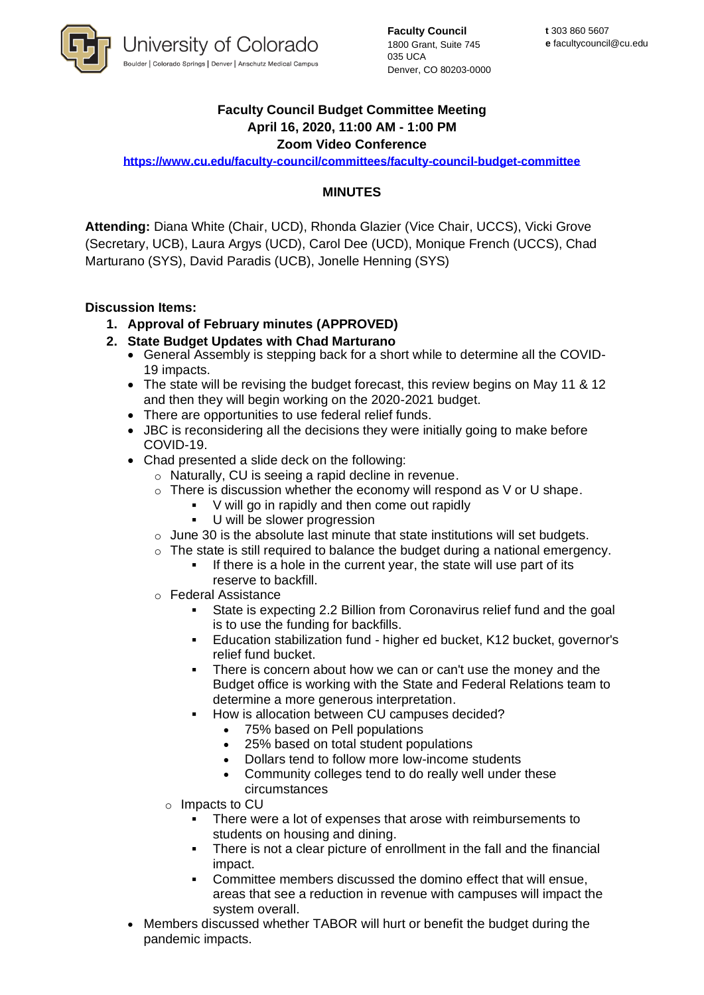

**Faculty Council** 1800 Grant, Suite 745 035 UCA Denver, CO 80203-0000

# **Faculty Council Budget Committee Meeting April 16, 2020, 11:00 AM - 1:00 PM**

### **Zoom Video Conference**

**<https://www.cu.edu/faculty-council/committees/faculty-council-budget-committee>**

## **MINUTES**

**Attending:** Diana White (Chair, UCD), Rhonda Glazier (Vice Chair, UCCS), Vicki Grove (Secretary, UCB), Laura Argys (UCD), Carol Dee (UCD), Monique French (UCCS), Chad Marturano (SYS), David Paradis (UCB), Jonelle Henning (SYS)

### **Discussion Items:**

- **1. Approval of February minutes (APPROVED)**
- **2. State Budget Updates with Chad Marturano** 
	- General Assembly is stepping back for a short while to determine all the COVID-19 impacts.
	- The state will be revising the budget forecast, this review begins on May 11 & 12 and then they will begin working on the 2020-2021 budget.
	- There are opportunities to use federal relief funds.
	- JBC is reconsidering all the decisions they were initially going to make before COVID-19.
	- Chad presented a slide deck on the following:
		- o Naturally, CU is seeing a rapid decline in revenue.
		- $\circ$  There is discussion whether the economy will respond as V or U shape.
			- V will go in rapidly and then come out rapidly
			- U will be slower progression
		- $\circ$  June 30 is the absolute last minute that state institutions will set budgets.
		- $\circ$  The state is still required to balance the budget during a national emergency.
			- If there is a hole in the current year, the state will use part of its reserve to backfill.
		- o Federal Assistance
			- State is expecting 2.2 Billion from Coronavirus relief fund and the goal is to use the funding for backfills.
			- Education stabilization fund higher ed bucket, K12 bucket, governor's relief fund bucket.
			- There is concern about how we can or can't use the money and the Budget office is working with the State and Federal Relations team to determine a more generous interpretation.
			- How is allocation between CU campuses decided?
				- 75% based on Pell populations
				- 25% based on total student populations
				- Dollars tend to follow more low-income students
				- Community colleges tend to do really well under these circumstances
			- o Impacts to CU
				- There were a lot of expenses that arose with reimbursements to students on housing and dining.
				- There is not a clear picture of enrollment in the fall and the financial impact.
				- Committee members discussed the domino effect that will ensue, areas that see a reduction in revenue with campuses will impact the system overall.
	- Members discussed whether TABOR will hurt or benefit the budget during the pandemic impacts.